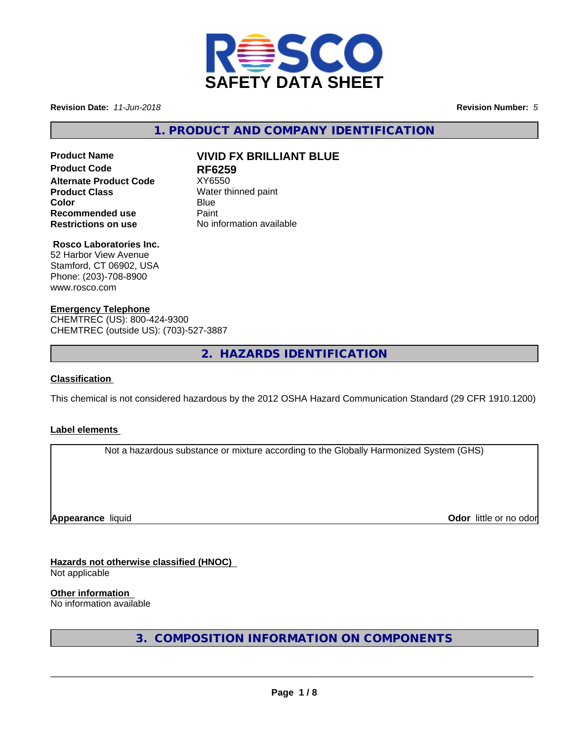

**Revision Date:** *11-Jun-2018* **Revision Number:** *5*

**1. PRODUCT AND COMPANY IDENTIFICATION**

# **Product Code RF6259 Alternate Product Code** XY6550 **Product Class** Water thinned paint **Recommended use** Paint<br> **Restrictions on use** No inf

## **Product Name VIVID FX BRILLIANT BLUE**

**Color** Blue Blue **Restrictions on use** No information available

## **Rosco Laboratories Inc.**

52 Harbor View Avenue Stamford, CT 06902, USA Phone: (203)-708-8900 www.rosco.com

## **Emergency Telephone**

CHEMTREC (US): 800-424-9300 CHEMTREC (outside US): (703)-527-3887

**2. HAZARDS IDENTIFICATION**

## **Classification**

This chemical is not considered hazardous by the 2012 OSHA Hazard Communication Standard (29 CFR 1910.1200)

## **Label elements**

Not a hazardous substance or mixture according to the Globally Harmonized System (GHS)

**Appearance** liquid

**Odor** little or no odor

**Hazards not otherwise classified (HNOC)** Not applicable

**Other information**

No information available

**3. COMPOSITION INFORMATION ON COMPONENTS**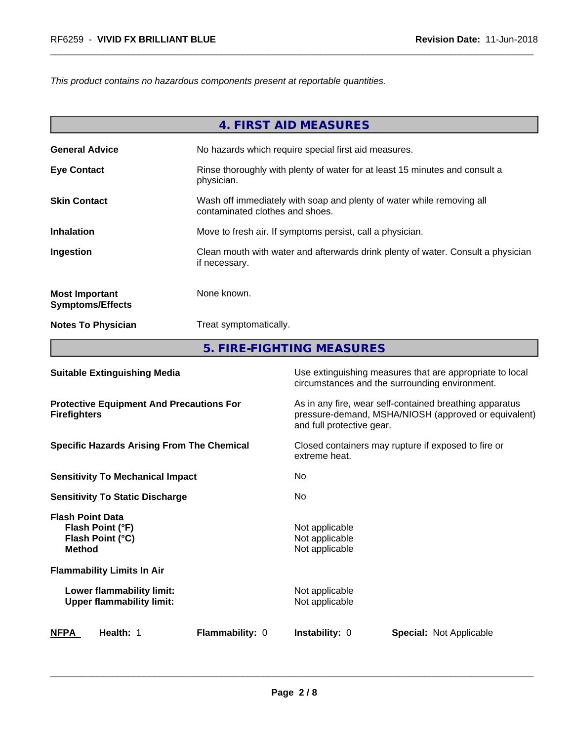*This product contains no hazardous components present at reportable quantities.*

|                                                  | 4. FIRST AID MEASURES                                                                                    |
|--------------------------------------------------|----------------------------------------------------------------------------------------------------------|
| <b>General Advice</b>                            | No hazards which require special first aid measures.                                                     |
| <b>Eye Contact</b>                               | Rinse thoroughly with plenty of water for at least 15 minutes and consult a<br>physician.                |
| <b>Skin Contact</b>                              | Wash off immediately with soap and plenty of water while removing all<br>contaminated clothes and shoes. |
| <b>Inhalation</b>                                | Move to fresh air. If symptoms persist, call a physician.                                                |
| Ingestion                                        | Clean mouth with water and afterwards drink plenty of water. Consult a physician<br>if necessary.        |
| <b>Most Important</b><br><b>Symptoms/Effects</b> | None known.                                                                                              |
| <b>Notes To Physician</b>                        | Treat symptomatically.                                                                                   |
|                                                  | 5. FIRE-FIGHTING MEASURES                                                                                |

| <b>Suitable Extinguishing Media</b>                                              | Use extinguishing measures that are appropriate to local<br>circumstances and the surrounding environment.                                   |
|----------------------------------------------------------------------------------|----------------------------------------------------------------------------------------------------------------------------------------------|
| <b>Protective Equipment And Precautions For</b><br><b>Firefighters</b>           | As in any fire, wear self-contained breathing apparatus<br>pressure-demand, MSHA/NIOSH (approved or equivalent)<br>and full protective gear. |
| <b>Specific Hazards Arising From The Chemical</b>                                | Closed containers may rupture if exposed to fire or<br>extreme heat.                                                                         |
| <b>Sensitivity To Mechanical Impact</b>                                          | No.                                                                                                                                          |
| <b>Sensitivity To Static Discharge</b>                                           | No.                                                                                                                                          |
| <b>Flash Point Data</b><br>Flash Point (°F)<br>Flash Point (°C)<br><b>Method</b> | Not applicable<br>Not applicable<br>Not applicable                                                                                           |
| <b>Flammability Limits In Air</b>                                                |                                                                                                                                              |
| Lower flammability limit:<br><b>Upper flammability limit:</b>                    | Not applicable<br>Not applicable                                                                                                             |
| <b>NFPA</b><br>Health: 1<br>Flammability: 0                                      | <b>Instability: 0</b><br><b>Special: Not Applicable</b>                                                                                      |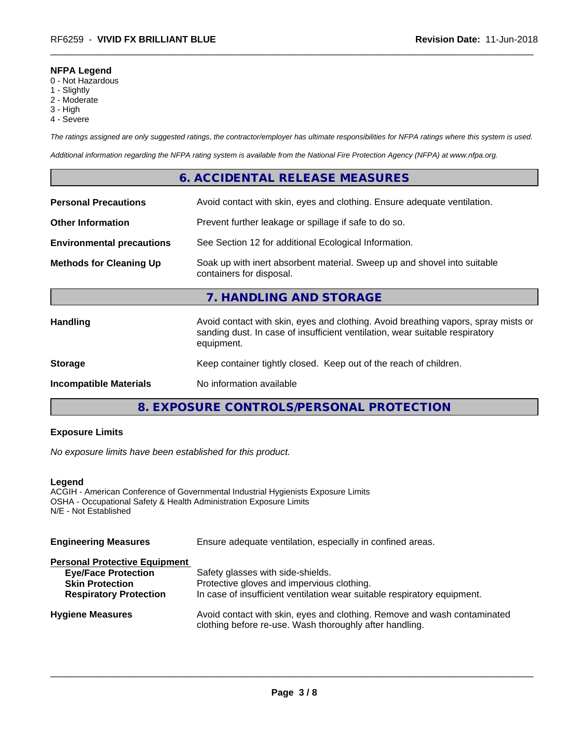## **NFPA Legend**

- 0 Not Hazardous
- 1 Slightly
- 2 Moderate
- 3 High
- 4 Severe

*The ratings assigned are only suggested ratings, the contractor/employer has ultimate responsibilities for NFPA ratings where this system is used.*

*Additional information regarding the NFPA rating system is available from the National Fire Protection Agency (NFPA) at www.nfpa.org.*

## **6. ACCIDENTAL RELEASE MEASURES**

| <b>Personal Precautions</b>      | Avoid contact with skin, eyes and clothing. Ensure adequate ventilation.                                                                                                         |
|----------------------------------|----------------------------------------------------------------------------------------------------------------------------------------------------------------------------------|
| <b>Other Information</b>         | Prevent further leakage or spillage if safe to do so.                                                                                                                            |
| <b>Environmental precautions</b> | See Section 12 for additional Ecological Information.                                                                                                                            |
| <b>Methods for Cleaning Up</b>   | Soak up with inert absorbent material. Sweep up and shovel into suitable<br>containers for disposal.                                                                             |
|                                  | 7. HANDLING AND STORAGE                                                                                                                                                          |
| <b>Handling</b>                  | Avoid contact with skin, eyes and clothing. Avoid breathing vapors, spray mists or<br>sanding dust. In case of insufficient ventilation, wear suitable respiratory<br>equipment. |
| <b>Storage</b>                   | Keep container tightly closed. Keep out of the reach of children.                                                                                                                |
| <b>Incompatible Materials</b>    | No information available                                                                                                                                                         |
|                                  |                                                                                                                                                                                  |

**8. EXPOSURE CONTROLS/PERSONAL PROTECTION**

## **Exposure Limits**

*No exposure limits have been established for this product.*

#### **Legend**

ACGIH - American Conference of Governmental Industrial Hygienists Exposure Limits OSHA - Occupational Safety & Health Administration Exposure Limits N/E - Not Established

| Ensure adequate ventilation, especially in confined areas.                                                                          |  |  |
|-------------------------------------------------------------------------------------------------------------------------------------|--|--|
|                                                                                                                                     |  |  |
| Safety glasses with side-shields.                                                                                                   |  |  |
| Protective gloves and impervious clothing.                                                                                          |  |  |
| In case of insufficient ventilation wear suitable respiratory equipment.                                                            |  |  |
| Avoid contact with skin, eyes and clothing. Remove and wash contaminated<br>clothing before re-use. Wash thoroughly after handling. |  |  |
|                                                                                                                                     |  |  |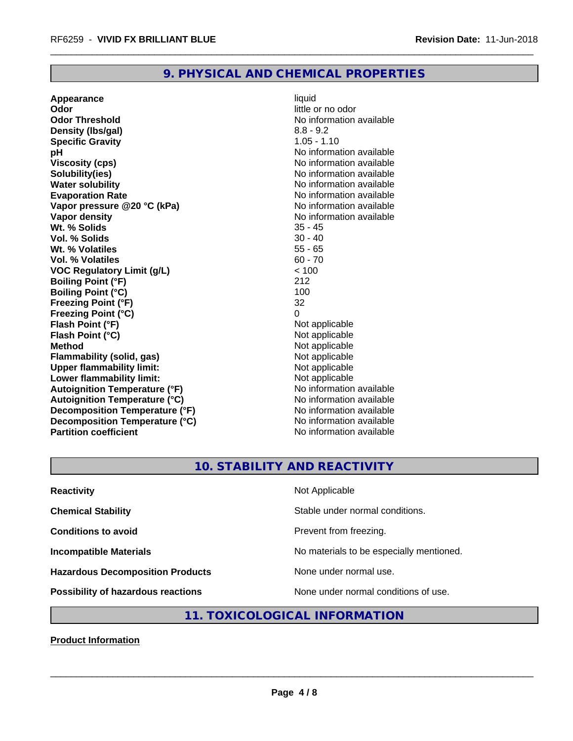## **9. PHYSICAL AND CHEMICAL PROPERTIES**

**Appearance** liquid **Odor** little or no odor **Odor Threshold** No information available **Density (lbs/gal)** 8.8 - 9.2 **Specific Gravity** 1.05 - 1.10 **pH** No information available **Viscosity (cps)** No information available Notice 1, 1999 **Solubility(ies)** No information available **Water solubility Water solubility Water solubility Water solubility Water solubility Water solution Evaporation Rate Conservation Rate** No information available<br> **Vapor pressure @20 °C (kPa)** No information available **Vapor** pressure @20 °C (kPa) **Vapor density Value 2018** No information available **Wt. % Solids** 35 - 45 **Vol. % Solids** 30 - 40 **Wt. % Volatiles Vol. % Volatiles** 60 - 70 **VOC Regulatory Limit (g/L)** < 100 **Boiling Point (°F)** 212 **Boiling Point (°C)** 100 **Freezing Point (°F)** 32 **Freezing Point (°C)**<br> **Flash Point (°F)**<br> **Flash Point (°F)**<br> **Point (°F) Flash Point (°F)**<br> **Flash Point (°C)**<br> **Flash Point (°C)**<br> **C Flash Point (°C) Method** Not applicable<br> **Flammability (solid, gas)** Not applicable Not applicable **Flammability (solid, gas)**<br> **Upper flammability limit:**<br>
Upper flammability limit: **Upper flammability limit: Lower flammability limit:**<br> **Autoignition Temperature (°F)** Not applicable Not applicable **Autoignition Temperature (°F)**<br> **Autoignition Temperature (°C)** No information available **Autoignition Temperature (°C) Decomposition Temperature (°F)**<br> **Decomposition Temperature (°C)** No information available **Decomposition Temperature (°C)**<br>Partition coefficient

**No information available** 

## **10. STABILITY AND REACTIVITY**

| <b>Reactivity</b>                         | Not Applicable                           |
|-------------------------------------------|------------------------------------------|
| <b>Chemical Stability</b>                 | Stable under normal conditions.          |
| <b>Conditions to avoid</b>                | Prevent from freezing.                   |
| <b>Incompatible Materials</b>             | No materials to be especially mentioned. |
| <b>Hazardous Decomposition Products</b>   | None under normal use.                   |
| <b>Possibility of hazardous reactions</b> | None under normal conditions of use.     |

## **11. TOXICOLOGICAL INFORMATION**

**Product Information**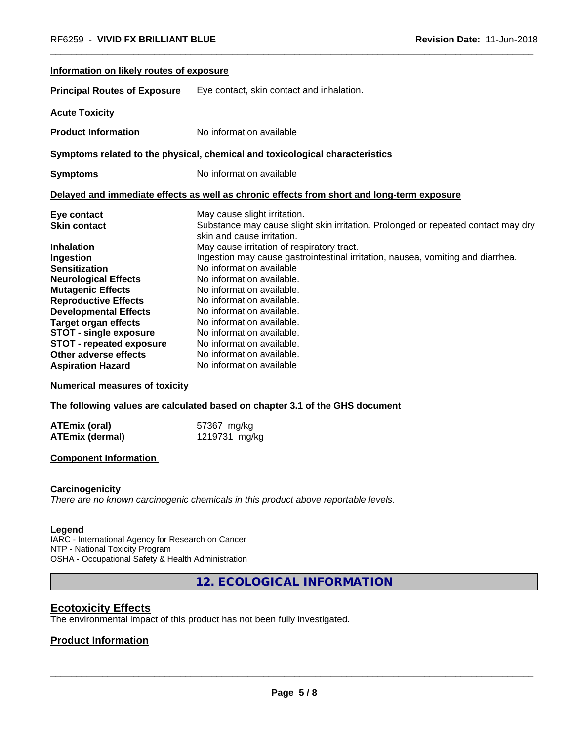| Information on likely routes of exposure |                                                                                                                 |  |
|------------------------------------------|-----------------------------------------------------------------------------------------------------------------|--|
| <b>Principal Routes of Exposure</b>      | Eye contact, skin contact and inhalation.                                                                       |  |
| <b>Acute Toxicity</b>                    |                                                                                                                 |  |
| <b>Product Information</b>               | No information available                                                                                        |  |
|                                          | Symptoms related to the physical, chemical and toxicological characteristics                                    |  |
| <b>Symptoms</b>                          | No information available                                                                                        |  |
|                                          | Delayed and immediate effects as well as chronic effects from short and long-term exposure                      |  |
| Eye contact                              | May cause slight irritation.                                                                                    |  |
| <b>Skin contact</b>                      | Substance may cause slight skin irritation. Prolonged or repeated contact may dry<br>skin and cause irritation. |  |
| <b>Inhalation</b>                        | May cause irritation of respiratory tract.                                                                      |  |
| Ingestion                                | Ingestion may cause gastrointestinal irritation, nausea, vomiting and diarrhea.                                 |  |
| <b>Sensitization</b>                     | No information available                                                                                        |  |
| <b>Neurological Effects</b>              | No information available.                                                                                       |  |
| <b>Mutagenic Effects</b>                 | No information available.                                                                                       |  |
| <b>Reproductive Effects</b>              | No information available.                                                                                       |  |
| <b>Developmental Effects</b>             | No information available.                                                                                       |  |
| <b>Target organ effects</b>              | No information available.                                                                                       |  |
| <b>STOT - single exposure</b>            | No information available.                                                                                       |  |
| <b>STOT - repeated exposure</b>          | No information available.                                                                                       |  |
| Other adverse effects                    | No information available.                                                                                       |  |
| <b>Aspiration Hazard</b>                 | No information available                                                                                        |  |

**Numerical measures of toxicity**

**The following values are calculated based on chapter 3.1 of the GHS document**

| <b>ATEmix (oral)</b> | 57367 mg/kg   |
|----------------------|---------------|
| ATEmix (dermal)      | 1219731 mg/kg |

#### **Component Information**

#### **Carcinogenicity**

*There are no known carcinogenic chemicals in this product above reportable levels.*

#### **Legend**

IARC - International Agency for Research on Cancer NTP - National Toxicity Program OSHA - Occupational Safety & Health Administration

**12. ECOLOGICAL INFORMATION**

## **Ecotoxicity Effects**

The environmental impact of this product has not been fully investigated.

## **Product Information**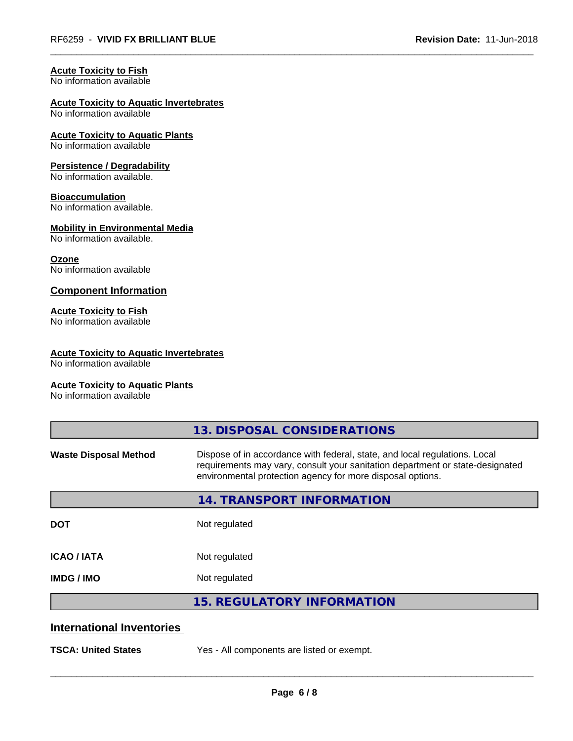## **Acute Toxicity to Fish**

No information available

## **Acute Toxicity to Aquatic Invertebrates**

No information available

## **Acute Toxicity to Aquatic Plants**

No information available

## **Persistence / Degradability**

No information available.

## **Bioaccumulation**

No information available.

## **Mobility in Environmental Media**

No information available.

## **Ozone**

No information available

## **Component Information**

## **Acute Toxicity to Fish**

No information available

## **Acute Toxicity to Aquatic Invertebrates**

No information available

## **Acute Toxicity to Aquatic Plants**

No information available

|                                  | 13. DISPOSAL CONSIDERATIONS                                                                                                                                                                                               |
|----------------------------------|---------------------------------------------------------------------------------------------------------------------------------------------------------------------------------------------------------------------------|
| <b>Waste Disposal Method</b>     | Dispose of in accordance with federal, state, and local regulations. Local<br>requirements may vary, consult your sanitation department or state-designated<br>environmental protection agency for more disposal options. |
|                                  | 14. TRANSPORT INFORMATION                                                                                                                                                                                                 |
| <b>DOT</b>                       | Not regulated                                                                                                                                                                                                             |
| <b>ICAO/IATA</b>                 | Not regulated                                                                                                                                                                                                             |
| <b>IMDG/IMO</b>                  | Not regulated                                                                                                                                                                                                             |
|                                  | <b>15. REGULATORY INFORMATION</b>                                                                                                                                                                                         |
| <b>International Inventories</b> |                                                                                                                                                                                                                           |
| <b>TSCA: United States</b>       | Yes - All components are listed or exempt.                                                                                                                                                                                |
|                                  |                                                                                                                                                                                                                           |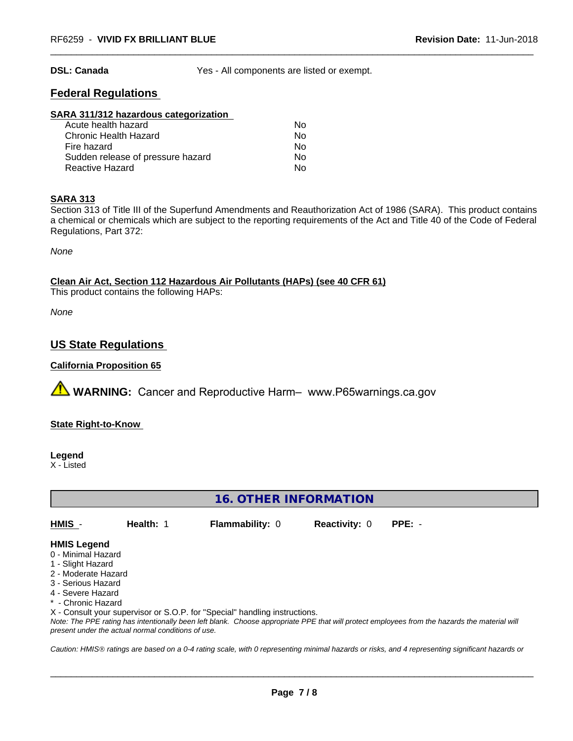**DSL: Canada** Yes - All components are listed or exempt.

## **Federal Regulations**

#### **SARA 311/312 hazardous categorization**

| Acute health hazard               | N٥ |
|-----------------------------------|----|
| Chronic Health Hazard             | N٥ |
| Fire hazard                       | Nο |
| Sudden release of pressure hazard | Nο |
| Reactive Hazard                   | N٥ |

#### **SARA 313**

Section 313 of Title III of the Superfund Amendments and Reauthorization Act of 1986 (SARA). This product contains a chemical or chemicals which are subject to the reporting requirements of the Act and Title 40 of the Code of Federal Regulations, Part 372:

*None*

**Clean Air Act,Section 112 Hazardous Air Pollutants (HAPs) (see 40 CFR 61)**

This product contains the following HAPs:

*None*

## **US State Regulations**

### **California Proposition 65**

**AVIMARNING:** Cancer and Reproductive Harm– www.P65warnings.ca.gov

## **State Right-to-Know**

**Legend**

X - Listed

## **16. OTHER INFORMATION**

| HMIS -<br><b>Flammability: 0</b><br>Health: 1<br><b>Reactivity: 0 PPE: -</b> |  |
|------------------------------------------------------------------------------|--|
|------------------------------------------------------------------------------|--|

## **HMIS Legend**

- 0 Minimal Hazard
- 1 Slight Hazard
- 2 Moderate Hazard
- 3 Serious Hazard
- 4 Severe Hazard
- \* Chronic Hazard

X - Consult your supervisor or S.O.P. for "Special" handling instructions.

*Note: The PPE rating has intentionally been left blank. Choose appropriate PPE that will protect employees from the hazards the material will present under the actual normal conditions of use.*

*Caution: HMISÒ ratings are based on a 0-4 rating scale, with 0 representing minimal hazards or risks, and 4 representing significant hazards or*